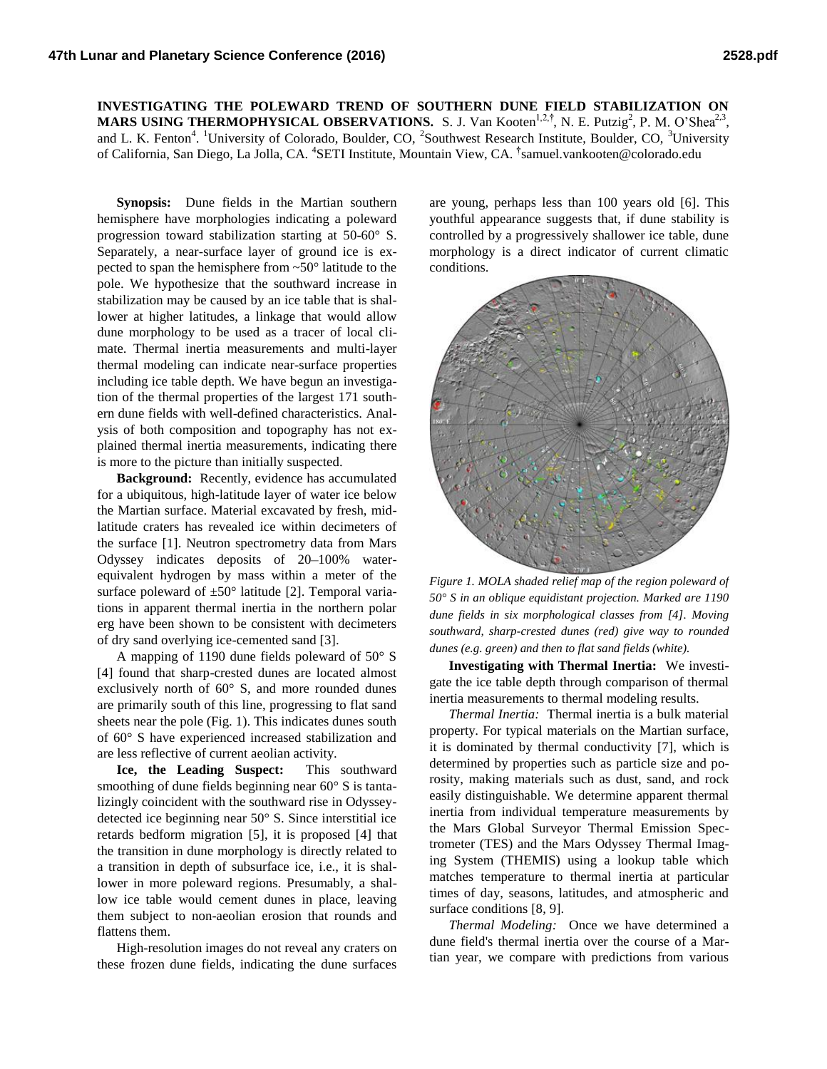## **INVESTIGATING THE POLEWARD TREND OF SOUTHERN DUNE FIELD STABILIZATION ON MARS USING THERMOPHYSICAL OBSERVATIONS.** S. J. Van Kooten<sup>1,2,†</sup>, N. E. Putzig<sup>2</sup>, P. M. O'Shea<sup>2,3</sup>, and L. K. Fenton<sup>4</sup>. <sup>1</sup>University of Colorado, Boulder, CO, <sup>2</sup>Southwest Research Institute, Boulder, CO, <sup>3</sup>University of California, San Diego, La Jolla, CA. <sup>4</sup>SETI Institute, Mountain View, CA. <sup>†</sup>samuel.vankooten@colorado.edu

**Synopsis:** Dune fields in the Martian southern hemisphere have morphologies indicating a poleward progression toward stabilization starting at 50-60° S. Separately, a near-surface layer of ground ice is expected to span the hemisphere from ~50° latitude to the pole. We hypothesize that the southward increase in stabilization may be caused by an ice table that is shallower at higher latitudes, a linkage that would allow dune morphology to be used as a tracer of local climate. Thermal inertia measurements and multi-layer thermal modeling can indicate near-surface properties including ice table depth. We have begun an investigation of the thermal properties of the largest 171 southern dune fields with well-defined characteristics. Analysis of both composition and topography has not explained thermal inertia measurements, indicating there is more to the picture than initially suspected.

**Background:** Recently, evidence has accumulated for a ubiquitous, high-latitude layer of water ice below the Martian surface. Material excavated by fresh, midlatitude craters has revealed ice within decimeters of the surface [1]. Neutron spectrometry data from Mars Odyssey indicates deposits of 20–100% waterequivalent hydrogen by mass within a meter of the surface poleward of  $\pm 50^{\circ}$  latitude [2]. Temporal variations in apparent thermal inertia in the northern polar erg have been shown to be consistent with decimeters of dry sand overlying ice-cemented sand [3].

A mapping of 1190 dune fields poleward of 50° S [4] found that sharp-crested dunes are located almost exclusively north of 60° S, and more rounded dunes are primarily south of this line, progressing to flat sand sheets near the pole (Fig. 1). This indicates dunes south of 60° S have experienced increased stabilization and are less reflective of current aeolian activity.

**Ice, the Leading Suspect:** This southward smoothing of dune fields beginning near 60° S is tantalizingly coincident with the southward rise in Odysseydetected ice beginning near 50° S. Since interstitial ice retards bedform migration [5], it is proposed [4] that the transition in dune morphology is directly related to a transition in depth of subsurface ice, i.e., it is shallower in more poleward regions. Presumably, a shallow ice table would cement dunes in place, leaving them subject to non-aeolian erosion that rounds and flattens them.

High-resolution images do not reveal any craters on these frozen dune fields, indicating the dune surfaces

are young, perhaps less than 100 years old [6]. This youthful appearance suggests that, if dune stability is controlled by a progressively shallower ice table, dune morphology is a direct indicator of current climatic conditions.



*Figure 1. MOLA shaded relief map of the region poleward of 50° S in an oblique equidistant projection. Marked are 1190 dune fields in six morphological classes from [4]. Moving southward, sharp-crested dunes (red) give way to rounded dunes (e.g. green) and then to flat sand fields (white).*

**Investigating with Thermal Inertia:** We investigate the ice table depth through comparison of thermal inertia measurements to thermal modeling results.

*Thermal Inertia:* Thermal inertia is a bulk material property. For typical materials on the Martian surface, it is dominated by thermal conductivity [7], which is determined by properties such as particle size and porosity, making materials such as dust, sand, and rock easily distinguishable. We determine apparent thermal inertia from individual temperature measurements by the Mars Global Surveyor Thermal Emission Spectrometer (TES) and the Mars Odyssey Thermal Imaging System (THEMIS) using a lookup table which matches temperature to thermal inertia at particular times of day, seasons, latitudes, and atmospheric and surface conditions [8, 9].

*Thermal Modeling:* Once we have determined a dune field's thermal inertia over the course of a Martian year, we compare with predictions from various